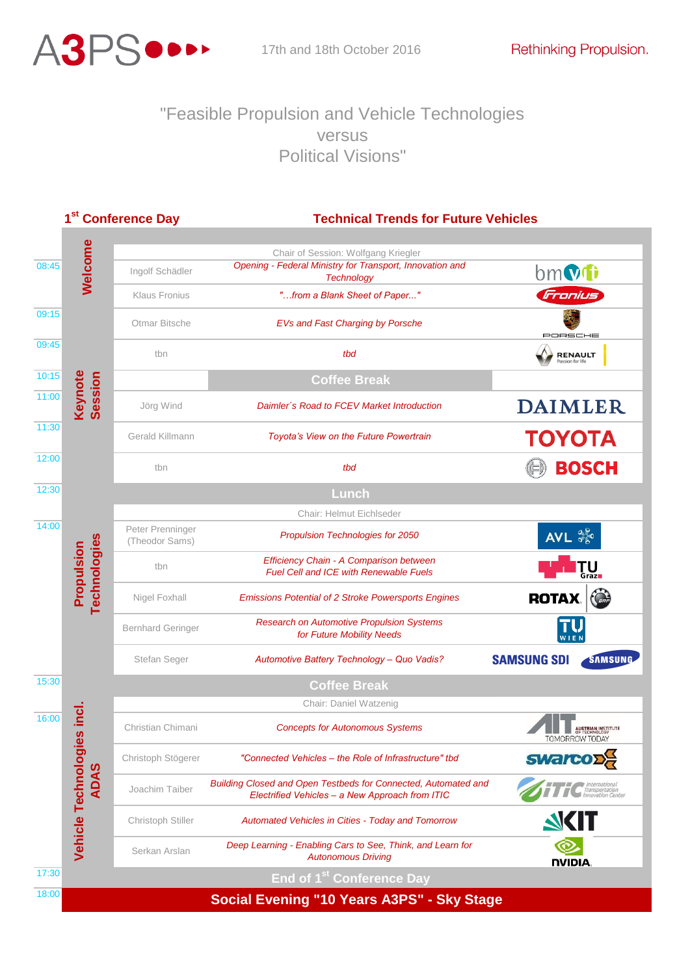

## "Feasible Propulsion and Vehicle Technologies versus Political Visions"